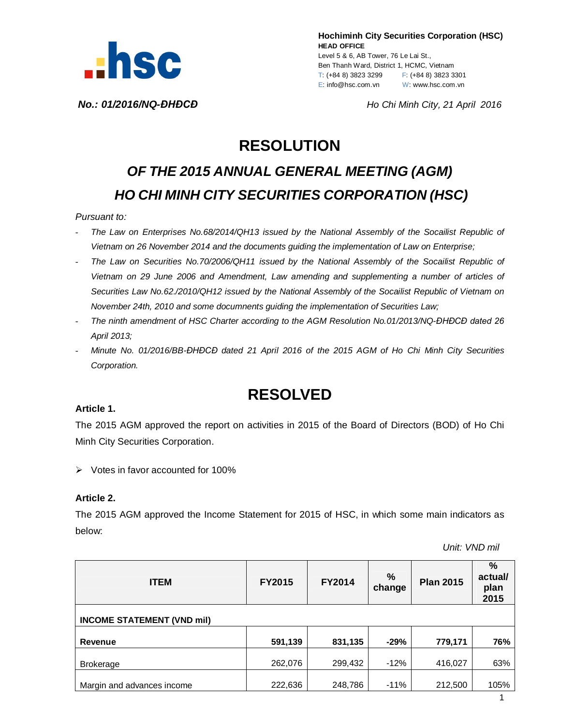

**Hochiminh City Securities Corporation (HSC) HEAD OFFICE** Level 5 & 6, AB Tower, 76 Le Lai St., Ben Thanh Ward, District 1, HCMC, Vietnam T: (+84 8) 3823 3299 F: (+84 8) 3823 3301 E: info@hsc.com.vn W: www.hsc.com.vn

*No.: 01/2016/NQ-ĐHĐCĐ Ho Chi Minh City, 21 April 2016*

## **RESOLUTION**

# *OF THE 2015 ANNUAL GENERAL MEETING (AGM) HO CHI MINH CITY SECURITIES CORPORATION (HSC)*

#### *Pursuant to:*

- *The Law on Enterprises No.68/2014/QH13 issued by the National Assembly of the Socailist Republic of Vietnam on 26 November 2014 and the documents guiding the implementation of Law on Enterprise;*
- *The Law on Securities No.70/2006/QH11 issued by the National Assembly of the Socailist Republic of Vietnam on 29 June 2006 and Amendment, Law amending and supplementing a number of articles of Securities Law No.62./2010/QH12 issued by the National Assembly of the Socailist Republic of Vietnam on November 24th, 2010 and some documnents guiding the implementation of Securities Law;*
- *The ninth amendment of HSC Charter according to the AGM Resolution No.01/2013/NQ-ĐHĐCĐ dated 26 April 2013;*
- *Minute No. 01/2016/BB-ĐHĐCĐ dated 21 April 2016 of the 2015 AGM of Ho Chi Minh City Securities Corporation.*

### **RESOLVED**

#### **Article 1.**

The 2015 AGM approved the report on activities in 2015 of the Board of Directors (BOD) of Ho Chi Minh City Securities Corporation.

 $\triangleright$  Votes in favor accounted for 100%

#### **Article 2.**

The 2015 AGM approved the Income Statement for 2015 of HSC, in which some main indicators as below:

 *Unit: VND mil*

| <b>ITEM</b>                       | FY2015  | <b>FY2014</b> | %<br>change | <b>Plan 2015</b> | $\frac{9}{6}$<br>actual/<br>plan<br>2015 |  |  |  |
|-----------------------------------|---------|---------------|-------------|------------------|------------------------------------------|--|--|--|
| <b>INCOME STATEMENT (VND mil)</b> |         |               |             |                  |                                          |  |  |  |
| Revenue                           | 591,139 | 831,135       | $-29%$      | 779,171          | 76%                                      |  |  |  |
| <b>Brokerage</b>                  | 262,076 | 299,432       | $-12%$      | 416,027          | 63%                                      |  |  |  |
| Margin and advances income        | 222,636 | 248,786       | $-11%$      | 212,500          | 105%                                     |  |  |  |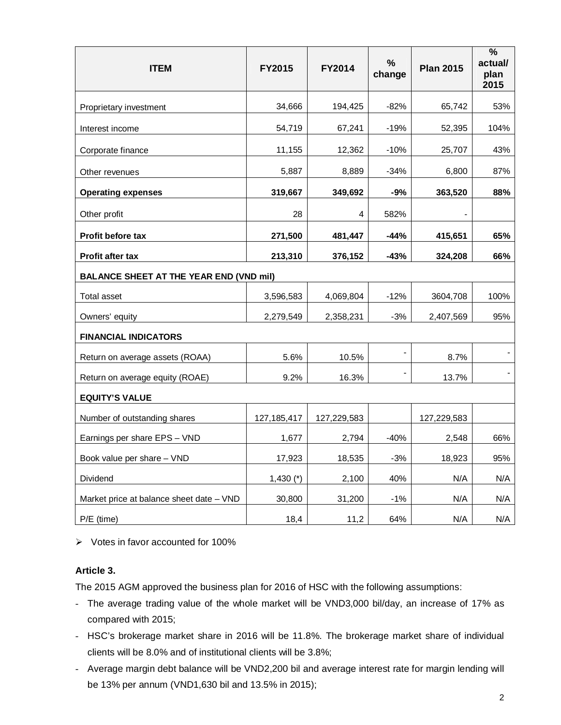| <b>ITEM</b>                                    | FY2015        | FY2014      | $\%$<br>change | <b>Plan 2015</b> | $\frac{0}{0}$<br>actual/<br>plan<br>2015 |  |  |  |
|------------------------------------------------|---------------|-------------|----------------|------------------|------------------------------------------|--|--|--|
| Proprietary investment                         | 34,666        | 194,425     | $-82%$         | 65,742           | 53%                                      |  |  |  |
| Interest income                                | 54,719        | 67,241      | $-19%$         | 52,395           | 104%                                     |  |  |  |
| Corporate finance                              | 11,155        | 12,362      | $-10%$         | 25,707           | 43%                                      |  |  |  |
| Other revenues                                 | 5,887         | 8,889       | $-34%$         | 6,800            | 87%                                      |  |  |  |
| <b>Operating expenses</b>                      | 319,667       | 349,692     | -9%            | 363,520          | 88%                                      |  |  |  |
| Other profit                                   | 28            | 4           | 582%           |                  |                                          |  |  |  |
| Profit before tax                              | 271,500       | 481,447     | $-44%$         | 415,651          | 65%                                      |  |  |  |
| Profit after tax                               | 213,310       | 376,152     | -43%           | 324,208          | 66%                                      |  |  |  |
| <b>BALANCE SHEET AT THE YEAR END (VND mil)</b> |               |             |                |                  |                                          |  |  |  |
| Total asset                                    | 3,596,583     | 4,069,804   | $-12%$         | 3604,708         | 100%                                     |  |  |  |
| Owners' equity                                 | 2,279,549     | 2,358,231   | $-3%$          | 2,407,569        | 95%                                      |  |  |  |
| <b>FINANCIAL INDICATORS</b>                    |               |             |                |                  |                                          |  |  |  |
| Return on average assets (ROAA)                | 5.6%          | 10.5%       |                | 8.7%             |                                          |  |  |  |
| Return on average equity (ROAE)                | 9.2%          | 16.3%       |                | 13.7%            |                                          |  |  |  |
| <b>EQUITY'S VALUE</b>                          |               |             |                |                  |                                          |  |  |  |
| Number of outstanding shares                   | 127, 185, 417 | 127,229,583 |                | 127,229,583      |                                          |  |  |  |
| Earnings per share EPS - VND                   | 1,677         | 2,794       | $-40%$         | 2,548            | 66%                                      |  |  |  |
| Book value per share - VND                     | 17,923        | 18,535      | $-3%$          | 18,923           | 95%                                      |  |  |  |
| Dividend                                       | $1,430$ (*)   | 2,100       | 40%            | N/A              | N/A                                      |  |  |  |
| Market price at balance sheet date - VND       | 30,800        | 31,200      | $-1\%$         | N/A              | N/A                                      |  |  |  |
| P/E (time)                                     | 18,4          | 11,2        | 64%            | N/A              | N/A                                      |  |  |  |

 $\triangleright$  Votes in favor accounted for 100%

#### **Article 3.**

The 2015 AGM approved the business plan for 2016 of HSC with the following assumptions:

- The average trading value of the whole market will be VND3,000 bil/day, an increase of 17% as compared with 2015;
- HSC's brokerage market share in 2016 will be 11.8%. The brokerage market share of individual clients will be 8.0% and of institutional clients will be 3.8%;
- Average margin debt balance will be VND2,200 bil and average interest rate for margin lending will be 13% per annum (VND1,630 bil and 13.5% in 2015);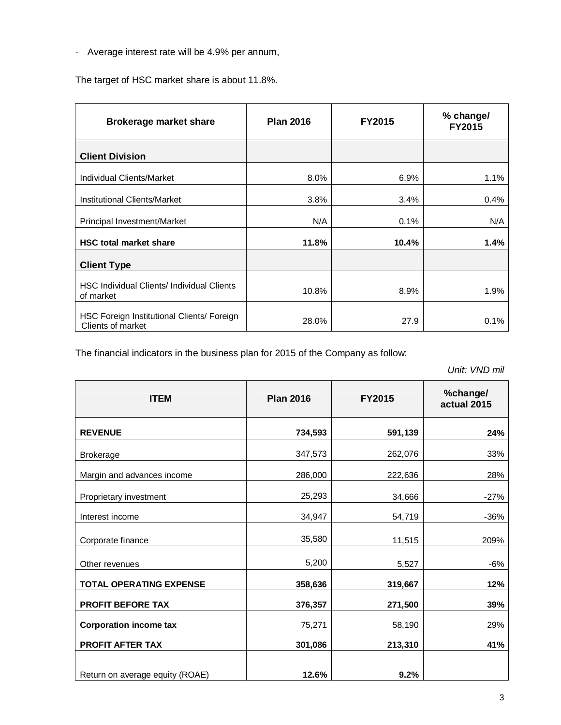- Average interest rate will be 4.9% per annum,

The target of HSC market share is about 11.8%.

| <b>Brokerage market share</b>                                   | <b>Plan 2016</b> | <b>FY2015</b> | % change/<br><b>FY2015</b> |
|-----------------------------------------------------------------|------------------|---------------|----------------------------|
| <b>Client Division</b>                                          |                  |               |                            |
| <b>Individual Clients/Market</b>                                | 8.0%             | 6.9%          | 1.1%                       |
| <b>Institutional Clients/Market</b>                             | 3.8%             | 3.4%          | 0.4%                       |
| Principal Investment/Market                                     | N/A              | 0.1%          | N/A                        |
| <b>HSC total market share</b>                                   | 11.8%            | 10.4%         | 1.4%                       |
| <b>Client Type</b>                                              |                  |               |                            |
| <b>HSC Individual Clients/ Individual Clients</b><br>of market  | 10.8%            | 8.9%          | 1.9%                       |
| HSC Foreign Institutional Clients/ Foreign<br>Clients of market | 28.0%            | 27.9          | 0.1%                       |

The financial indicators in the business plan for 2015 of the Company as follow:

 *Unit: VND mil*

| <b>ITEM</b>                     | <b>Plan 2016</b> | <b>FY2015</b> | %change/<br>actual 2015 |
|---------------------------------|------------------|---------------|-------------------------|
| <b>REVENUE</b>                  | 734,593          | 591,139       | 24%                     |
| <b>Brokerage</b>                | 347,573          | 262,076       | 33%                     |
| Margin and advances income      | 286,000          | 222,636       | 28%                     |
| Proprietary investment          | 25,293           | 34,666        | $-27%$                  |
| Interest income                 | 34,947           | 54,719        | $-36%$                  |
| Corporate finance               | 35,580           | 11,515        | 209%                    |
| Other revenues                  | 5,200            | 5,527         | $-6%$                   |
| <b>TOTAL OPERATING EXPENSE</b>  | 358,636          | 319,667       | 12%                     |
| <b>PROFIT BEFORE TAX</b>        | 376,357          | 271,500       | 39%                     |
| <b>Corporation income tax</b>   | 75,271           | 58,190        | 29%                     |
| <b>PROFIT AFTER TAX</b>         | 301,086          | 213,310       | 41%                     |
| Return on average equity (ROAE) | 12.6%            | 9.2%          |                         |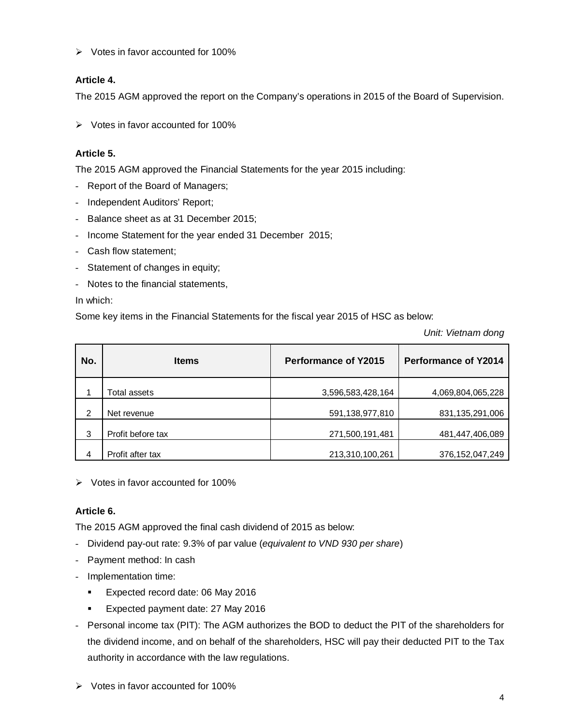$\triangleright$  Votes in favor accounted for 100%

#### **Article 4.**

The 2015 AGM approved the report on the Company's operations in 2015 of the Board of Supervision.

 $\triangleright$  Votes in favor accounted for 100%

#### **Article 5.**

The 2015 AGM approved the Financial Statements for the year 2015 including:

- Report of the Board of Managers;
- Independent Auditors' Report;
- Balance sheet as at 31 December 2015;
- Income Statement for the year ended 31 December 2015;
- Cash flow statement;
- Statement of changes in equity;
- Notes to the financial statements,

In which:

Some key items in the Financial Statements for the fiscal year 2015 of HSC as below:

*Unit: Vietnam dong*

| No. | <b>Items</b>      | <b>Performance of Y2015</b> | <b>Performance of Y2014</b> |  |
|-----|-------------------|-----------------------------|-----------------------------|--|
|     | Total assets      | 3,596,583,428,164           | 4,069,804,065,228           |  |
| 2   | Net revenue       | 591,138,977,810             | 831,135,291,006             |  |
| 3   | Profit before tax | 271,500,191,481             | 481,447,406,089             |  |
| 4   | Profit after tax  | 213,310,100,261             | 376,152,047,249             |  |

 $\triangleright$  Votes in favor accounted for 100%

#### **Article 6.**

The 2015 AGM approved the final cash dividend of 2015 as below:

- Dividend pay-out rate: 9.3% of par value (*equivalent to VND 930 per share*)
- Payment method: In cash
- Implementation time:
	- **Expected record date: 06 May 2016**
	- Expected payment date: 27 May 2016
- Personal income tax (PIT): The AGM authorizes the BOD to deduct the PIT of the shareholders for the dividend income, and on behalf of the shareholders, HSC will pay their deducted PIT to the Tax authority in accordance with the law regulations.
- $\triangleright$  Votes in favor accounted for 100%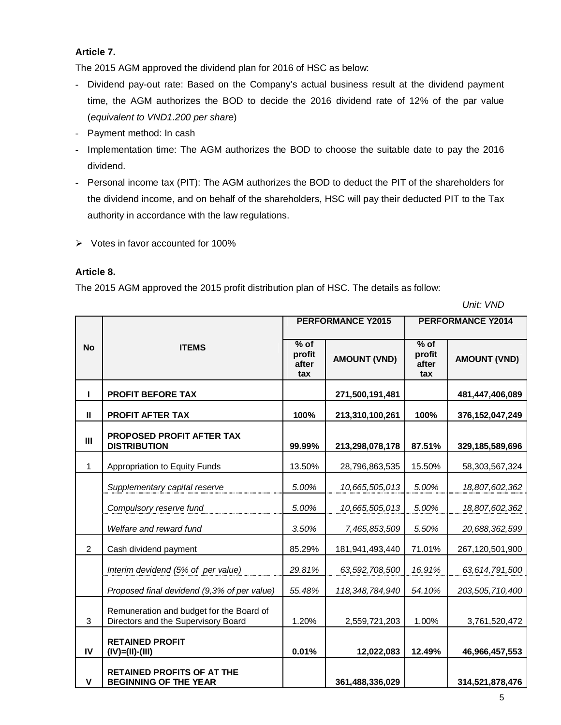#### **Article 7.**

The 2015 AGM approved the dividend plan for 2016 of HSC as below:

- Dividend pay-out rate: Based on the Company's actual business result at the dividend payment time, the AGM authorizes the BOD to decide the 2016 dividend rate of 12% of the par value (*equivalent to VND1.200 per share*)
- Payment method: In cash
- Implementation time: The AGM authorizes the BOD to choose the suitable date to pay the 2016 dividend.
- Personal income tax (PIT): The AGM authorizes the BOD to deduct the PIT of the shareholders for the dividend income, and on behalf of the shareholders, HSC will pay their deducted PIT to the Tax authority in accordance with the law regulations.
- $\triangleright$  Votes in favor accounted for 100%

#### **Article 8.**

The 2015 AGM approved the 2015 profit distribution plan of HSC. The details as follow:

 *Unit: VND*

|                |                                                                                 |                                | <b>PERFORMANCE Y2015</b> | PERFORMANCE Y2014                |                     |
|----------------|---------------------------------------------------------------------------------|--------------------------------|--------------------------|----------------------------------|---------------------|
| <b>No</b>      | <b>ITEMS</b>                                                                    | % of<br>profit<br>after<br>tax | <b>AMOUNT (VND)</b>      | $%$ of<br>profit<br>after<br>tax | <b>AMOUNT (VND)</b> |
| L              | <b>PROFIT BEFORE TAX</b>                                                        |                                | 271,500,191,481          |                                  | 481,447,406,089     |
| $\mathbf{I}$   | <b>PROFIT AFTER TAX</b>                                                         | 100%                           | 213,310,100,261          | 100%                             | 376, 152, 047, 249  |
| $\mathbf{III}$ | <b>PROPOSED PROFIT AFTER TAX</b><br><b>DISTRIBUTION</b>                         | 99.99%                         | 213,298,078,178          | 87.51%                           | 329,185,589,696     |
| 1              | Appropriation to Equity Funds                                                   | 13.50%                         | 28,796,863,535           | 15.50%                           | 58,303,567,324      |
|                | Supplementary capital reserve                                                   | 5.00%                          | 10,665,505,013           | 5.00%                            | 18,807,602,362      |
|                | Compulsory reserve fund                                                         | 5.00%                          | 10,665,505,013           | 5.00%                            | 18,807,602,362      |
|                | Welfare and reward fund                                                         | 3.50%                          | 7,465,853,509            | 5.50%                            | 20,688,362,599      |
| $\overline{2}$ | Cash dividend payment                                                           | 85.29%                         | 181,941,493,440          | 71.01%                           | 267,120,501,900     |
|                | Interim devidend (5% of per value)                                              | 29.81%                         | 63,592,708,500           | 16.91%                           | 63,614,791,500      |
|                | Proposed final devidend (9,3% of per value)                                     | 55.48%                         | 118, 348, 784, 940       | 54.10%                           | 203,505,710,400     |
| 3              | Remuneration and budget for the Board of<br>Directors and the Supervisory Board | 1.20%                          | 2,559,721,203            | 1.00%                            | 3,761,520,472       |
| IV             | <b>RETAINED PROFIT</b><br>$(IV)=(II)-(III)$                                     | 0.01%                          | 12,022,083               | 12.49%                           | 46,966,457,553      |
| $\mathbf v$    | <b>RETAINED PROFITS OF AT THE</b><br><b>BEGINNING OF THE YEAR</b>               |                                | 361,488,336,029          |                                  | 314,521,878,476     |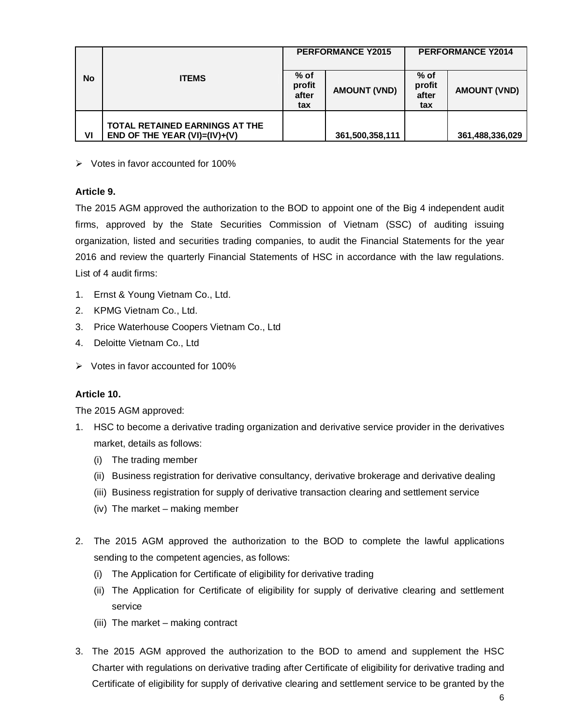|           |                                                                              | <b>PERFORMANCE Y2014</b><br><b>PERFORMANCE Y2015</b> |                     |                                |                     |
|-----------|------------------------------------------------------------------------------|------------------------------------------------------|---------------------|--------------------------------|---------------------|
| <b>No</b> | <b>ITEMS</b>                                                                 | $%$ of<br>profit<br>after<br>tax                     | <b>AMOUNT (VND)</b> | % of<br>profit<br>after<br>tax | <b>AMOUNT (VND)</b> |
| VI        | <b>TOTAL RETAINED EARNINGS AT THE</b><br>END OF THE YEAR $(VI) = (IV) + (V)$ |                                                      | 361,500,358,111     |                                | 361,488,336,029     |

 $\triangleright$  Votes in favor accounted for 100%

#### **Article 9.**

The 2015 AGM approved the authorization to the BOD to appoint one of the Big 4 independent audit firms, approved by the State Securities Commission of Vietnam (SSC) of auditing issuing organization, listed and securities trading companies, to audit the Financial Statements for the year 2016 and review the quarterly Financial Statements of HSC in accordance with the law regulations. List of 4 audit firms:

- 1. Ernst & Young Vietnam Co., Ltd.
- 2. KPMG Vietnam Co., Ltd.
- 3. Price Waterhouse Coopers Vietnam Co., Ltd
- 4. Deloitte Vietnam Co., Ltd
- $\triangleright$  Votes in favor accounted for 100%

#### **Article 10.**

The 2015 AGM approved:

- 1. HSC to become a derivative trading organization and derivative service provider in the derivatives market, details as follows:
	- (i) The trading member
	- (ii) Business registration for derivative consultancy, derivative brokerage and derivative dealing
	- (iii) Business registration for supply of derivative transaction clearing and settlement service
	- (iv) The market making member
- 2. The 2015 AGM approved the authorization to the BOD to complete the lawful applications sending to the competent agencies, as follows:
	- (i) The Application for Certificate of eligibility for derivative trading
	- (ii) The Application for Certificate of eligibility for supply of derivative clearing and settlement service
	- (iii) The market making contract
- 3. The 2015 AGM approved the authorization to the BOD to amend and supplement the HSC Charter with regulations on derivative trading after Certificate of eligibility for derivative trading and Certificate of eligibility for supply of derivative clearing and settlement service to be granted by the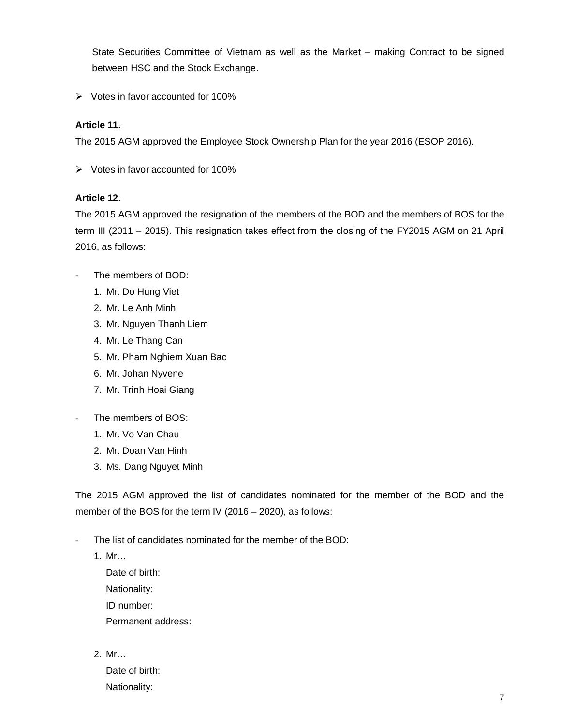State Securities Committee of Vietnam as well as the Market – making Contract to be signed between HSC and the Stock Exchange.

 $\triangleright$  Votes in favor accounted for 100%

#### **Article 11.**

The 2015 AGM approved the Employee Stock Ownership Plan for the year 2016 (ESOP 2016).

 $\triangleright$  Votes in favor accounted for 100%

#### **Article 12.**

The 2015 AGM approved the resignation of the members of the BOD and the members of BOS for the term III (2011 – 2015). This resignation takes effect from the closing of the FY2015 AGM on 21 April 2016, as follows:

- The members of BOD:
	- 1. Mr. Do Hung Viet
	- 2. Mr. Le Anh Minh
	- 3. Mr. Nguyen Thanh Liem
	- 4. Mr. Le Thang Can
	- 5. Mr. Pham Nghiem Xuan Bac
	- 6. Mr. Johan Nyvene
	- 7. Mr. Trinh Hoai Giang
- The members of BOS:
	- 1. Mr. Vo Van Chau
	- 2. Mr. Doan Van Hinh
	- 3. Ms. Dang Nguyet Minh

The 2015 AGM approved the list of candidates nominated for the member of the BOD and the member of the BOS for the term IV (2016 – 2020), as follows:

- The list of candidates nominated for the member of the BOD:
	- 1. Mr…

Date of birth: Nationality: ID number: Permanent address:

2. Mr…

Date of birth: Nationality: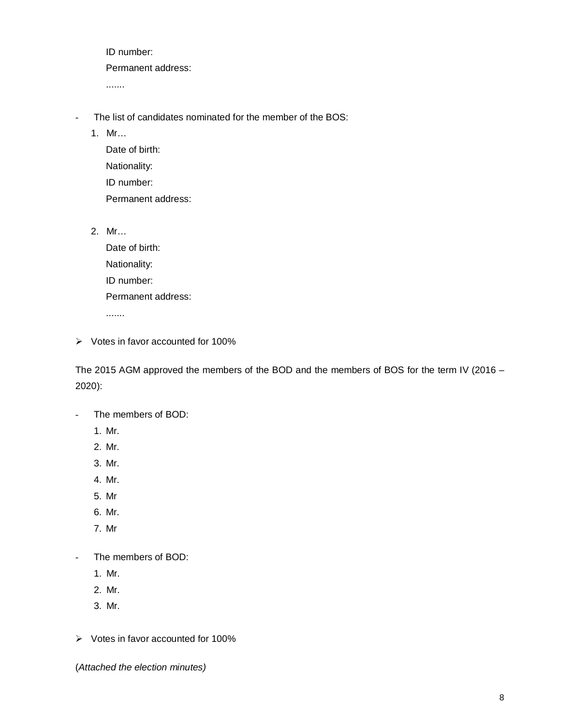ID number: Permanent address: .......

- The list of candidates nominated for the member of the BOS:
	- 1. Mr…

Date of birth: Nationality: ID number: Permanent address:

2. Mr…

Date of birth: Nationality: ID number: Permanent address: .......

 $\triangleright$  Votes in favor accounted for 100%

The 2015 AGM approved the members of the BOD and the members of BOS for the term IV (2016 – 2020):

- The members of BOD:
	- 1. Mr.
	- 2. Mr.
	- 3. Mr.
	- 4. Mr.
	- 5. Mr
	- 6. Mr.
	- 7. Mr
- The members of BOD:
	- 1. Mr.
	- 2. Mr.
	- 3. Mr.

 $\triangleright$  Votes in favor accounted for 100%

(*Attached the election minutes)*